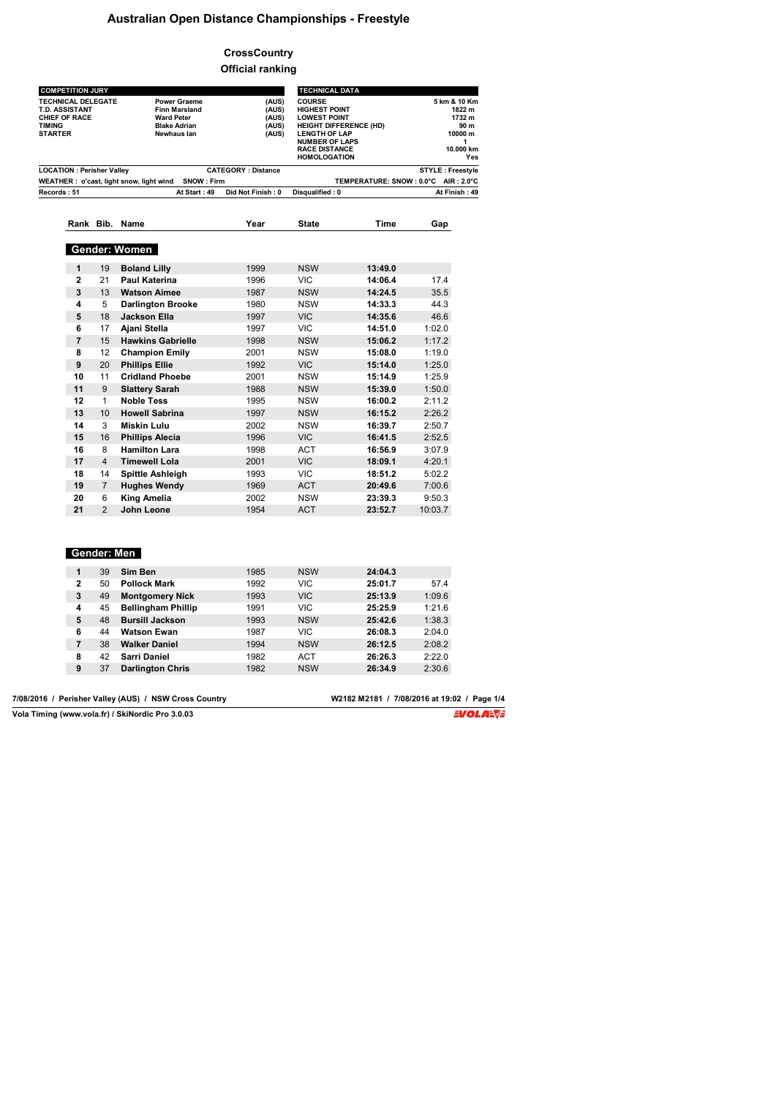## **Australian Open Distance Championships - Freestyle**

## **CrossCountry Official ranking**

| <b>COMPETITION JURY</b>                 |                      |                           | <b>TECHNICAL DATA</b>               |                         |
|-----------------------------------------|----------------------|---------------------------|-------------------------------------|-------------------------|
| <b>TECHNICAL DELEGATE</b>               | <b>Power Graeme</b>  | (AUS)                     | <b>COURSE</b>                       | 5 km & 10 Km            |
| <b>T.D. ASSISTANT</b>                   | <b>Finn Marsland</b> | (AUS)                     | <b>HIGHEST POINT</b>                | 1822 m                  |
| <b>CHIEF OF RACE</b>                    | <b>Ward Peter</b>    | (AUS)                     | <b>LOWEST POINT</b>                 | 1732 m                  |
| <b>TIMING</b>                           | <b>Blake Adrian</b>  | (AUS)                     | <b>HEIGHT DIFFERENCE (HD)</b>       | 90 m                    |
| <b>STARTER</b>                          | Newhaus lan          | (AUS)                     | <b>LENGTH OF LAP</b>                | 10000 m                 |
|                                         |                      |                           | <b>NUMBER OF LAPS</b>               |                         |
|                                         |                      |                           | <b>RACE DISTANCE</b>                | 10.000 km               |
|                                         |                      |                           | <b>HOMOLOGATION</b>                 | Yes                     |
| <b>LOCATION: Perisher Valley</b>        |                      | <b>CATEGORY: Distance</b> |                                     | <b>STYLE: Freestyle</b> |
| WEATHER: o'cast, light snow, light wind | SNOW: Firm           |                           | TEMPERATURE: SNOW: 0.0°C AIR: 2.0°C |                         |
| Records: 51                             | At Start: 49         | Did Not Finish: 0         | Disqualified: 0                     | At Finish: 49           |

**Rank Bib. Name Year State Time Gap**

#### **Gender: Women 1** 19 **Boland Lilly** 1999 NSW **13:49.0 2** 21 **Paul Katerina** 1996 VIC **14:06.4** 17.4 **3** 13 **Watson Aimee** 1987 NSW **14:24.5** 35.5 **4** 5 **Darlington Brooke** 1980 NSW **14:33.3** 44.3 **5** 18 **Jackson Ella** 1997 VIC **14:35.6** 46.6 **6** 17 **Ajani Stella** 1997 VIC **14:51.0** 1:02.0 **7** 15 **Hawkins Gabrielle** 1998 NSW 15:06.2<br>**8** 12 **Champion Emily** 2001 NSW 15:08.0 **8** 12 **Champion Emily** 2001 NSW **15:08.0** 1:19.0 **9** 20 **Phillips Ellie** 1992 VIC **15:14.0** 1:25.0 11 **Cridland Phoebe** 2001 NSW 15:14.9<br>9 **Slattery Sarah** 1988 NSW 15:39.0 **11** 9 **Slattery Sarah** 1988 NSW **15:39.0** 1:50.0 **12** 1 **Noble Tess** 1995 NSW **16:00.2** 2:11.2 **13** 10 **Howell Sabrina** 1997 NSW **16:15.2** 2:26.2 **14** 3 **Miskin Lulu** 2002 NSW **16:39.7** 2:50.7 **15** 16 **Phillips Alecia** 1996 VIC **16:41.5** 2:52.5 **16** 8 **Hamilton Lara** 1998 ACT **16:56.9** 3:07.9  $Timewell$  Lola **18** 14 **Spittle Ashleigh** 1993 VIC **18:51.2** 5:02.2 **19** 7 **Hughes Wendy** 1969 ACT **20:49.6** 7:00.6 **20** 6 **King Amelia** 2002 NSW **23:39.3** 9:50.3 2 **John Leone**

#### **Gender: Men**

| 1            | 39 | Sim Ben                   | 1985 | <b>NSW</b> | 24:04.3 |        |
|--------------|----|---------------------------|------|------------|---------|--------|
| $\mathbf{2}$ | 50 | <b>Pollock Mark</b>       | 1992 | VIC        | 25:01.7 | 57.4   |
| 3            | 49 | <b>Montgomery Nick</b>    | 1993 | <b>VIC</b> | 25:13.9 | 1:09.6 |
| 4            | 45 | <b>Bellingham Phillip</b> | 1991 | <b>VIC</b> | 25:25.9 | 1:21.6 |
| 5            | 48 | <b>Bursill Jackson</b>    | 1993 | <b>NSW</b> | 25:42.6 | 1:38.3 |
| 6            | 44 | <b>Watson Ewan</b>        | 1987 | VIC        | 26:08.3 | 2:04.0 |
| 7            | 38 | <b>Walker Daniel</b>      | 1994 | <b>NSW</b> | 26:12.5 | 2:08.2 |
| 8            | 42 | Sarri Daniel              | 1982 | ACT        | 26:26.3 | 2:22.0 |
| 9            | 37 | <b>Darlington Chris</b>   | 1982 | <b>NSW</b> | 26:34.9 | 2:30.6 |
|              |    |                           |      |            |         |        |

7/08/2016 / Perisher Valley (AUS) / NSW Cross Country

**W2182 M2181 / 7/08/2016 at 19:02 / Page 1/4**<br>**EVOLA:** 

**Vola Timing (www.vola.fr) / SkiNordic Pro 3.0.03**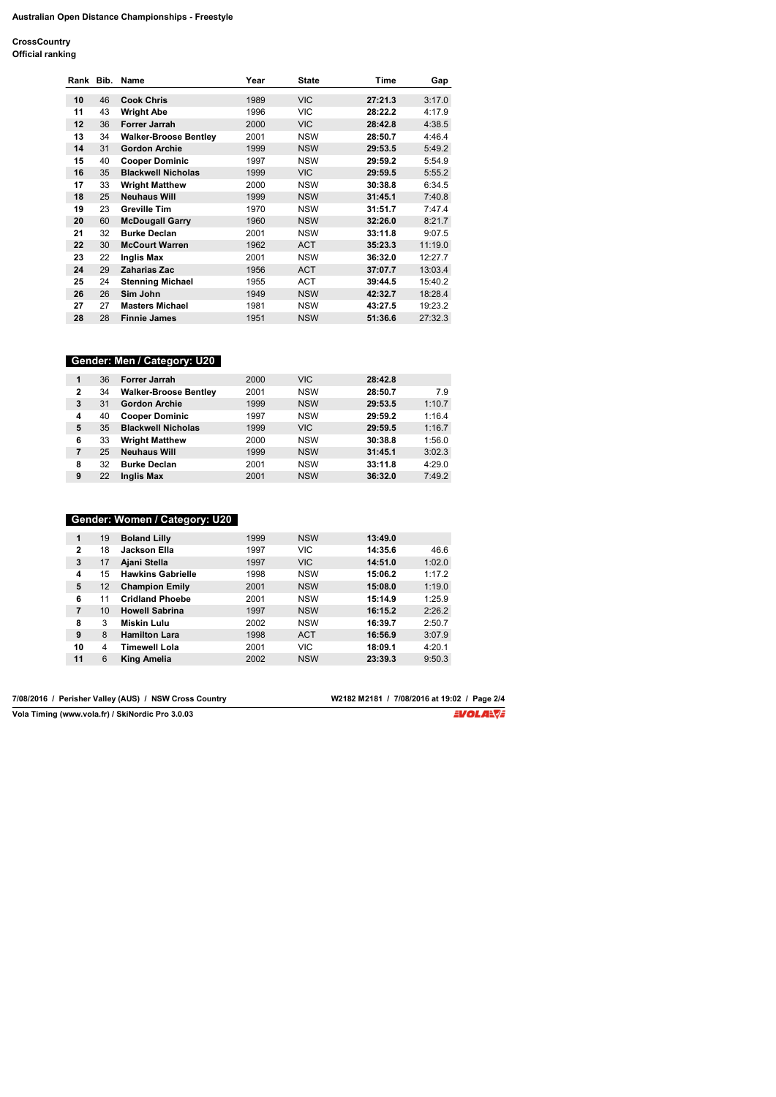**CrossCountry Official ranking**

| <b>Official ranking</b> |  |
|-------------------------|--|
|                         |  |

| Rank Bib. |    | Name                         | Year | <b>State</b> | Time    | Gap     |
|-----------|----|------------------------------|------|--------------|---------|---------|
| 10        | 46 | <b>Cook Chris</b>            | 1989 | <b>VIC</b>   | 27:21.3 | 3:17.0  |
| 11        | 43 | <b>Wright Abe</b>            | 1996 | VIC.         | 28:22.2 | 4:17.9  |
| 12        | 36 | <b>Forrer Jarrah</b>         | 2000 | <b>VIC</b>   | 28:42.8 | 4:38.5  |
| 13        | 34 | <b>Walker-Broose Bentley</b> | 2001 | <b>NSW</b>   | 28:50.7 | 4:46.4  |
| 14        | 31 | <b>Gordon Archie</b>         | 1999 | <b>NSW</b>   | 29:53.5 | 5:49.2  |
| 15        | 40 | <b>Cooper Dominic</b>        | 1997 | <b>NSW</b>   | 29:59.2 | 5:54.9  |
| 16        | 35 | <b>Blackwell Nicholas</b>    | 1999 | VIC.         | 29:59.5 | 5:55.2  |
| 17        | 33 | <b>Wright Matthew</b>        | 2000 | <b>NSW</b>   | 30:38.8 | 6:34.5  |
| 18        | 25 | <b>Neuhaus Will</b>          | 1999 | <b>NSW</b>   | 31:45.1 | 7:40.8  |
| 19        | 23 | <b>Greville Tim</b>          | 1970 | <b>NSW</b>   | 31:51.7 | 7:47.4  |
| 20        | 60 | <b>McDougall Garry</b>       | 1960 | <b>NSW</b>   | 32:26.0 | 8:21.7  |
| 21        | 32 | <b>Burke Declan</b>          | 2001 | <b>NSW</b>   | 33:11.8 | 9:07.5  |
| 22        | 30 | <b>McCourt Warren</b>        | 1962 | <b>ACT</b>   | 35:23.3 | 11:19.0 |
| 23        | 22 | <b>Inglis Max</b>            | 2001 | <b>NSW</b>   | 36:32.0 | 12:27.7 |
| 24        | 29 | <b>Zaharias Zac</b>          | 1956 | <b>ACT</b>   | 37:07.7 | 13:03.4 |
| 25        | 24 | <b>Stenning Michael</b>      | 1955 | ACT          | 39:44.5 | 15:40.2 |
| 26        | 26 | Sim John                     | 1949 | <b>NSW</b>   | 42:32.7 | 18:28.4 |
| 27        | 27 | <b>Masters Michael</b>       | 1981 | <b>NSW</b>   | 43:27.5 | 19:23.2 |
| 28        | 28 | <b>Finnie James</b>          | 1951 | <b>NSW</b>   | 51:36.6 | 27:32.3 |

# **Gender: Men / Category: U20**

| 1            | 36 | Forrer Jarrah                | 2000 | <b>VIC</b> | 28:42.8 |        |
|--------------|----|------------------------------|------|------------|---------|--------|
| $\mathbf{2}$ | 34 | <b>Walker-Broose Bentley</b> | 2001 | <b>NSW</b> | 28:50.7 | 7.9    |
| 3            | 31 | <b>Gordon Archie</b>         | 1999 | <b>NSW</b> | 29:53.5 | 1:10.7 |
| 4            | 40 | <b>Cooper Dominic</b>        | 1997 | <b>NSW</b> | 29:59.2 | 1:16.4 |
| 5            | 35 | <b>Blackwell Nicholas</b>    | 1999 | <b>VIC</b> | 29:59.5 | 1:16.7 |
| 6            | 33 | <b>Wright Matthew</b>        | 2000 | <b>NSW</b> | 30:38.8 | 1:56.0 |
| 7            | 25 | <b>Neuhaus Will</b>          | 1999 | <b>NSW</b> | 31:45.1 | 3:02.3 |
| 8            | 32 | <b>Burke Declan</b>          | 2001 | <b>NSW</b> | 33:11.8 | 4:29.0 |
| 9            | 22 | <b>Inglis Max</b>            | 2001 | <b>NSW</b> | 36:32.0 | 7:49.2 |

## **Gender: Women / Category: U20**

| 1            | 19 | <b>Boland Lilly</b>      | 1999 | <b>NSW</b> | 13:49.0 |        |
|--------------|----|--------------------------|------|------------|---------|--------|
| $\mathbf{2}$ | 18 | Jackson Ella             | 1997 | <b>VIC</b> | 14:35.6 | 46.6   |
| 3            | 17 | Ajani Stella             | 1997 | <b>VIC</b> | 14:51.0 | 1:02.0 |
| 4            | 15 | <b>Hawkins Gabrielle</b> | 1998 | <b>NSW</b> | 15:06.2 | 1:17.2 |
| 5            | 12 | <b>Champion Emily</b>    | 2001 | <b>NSW</b> | 15:08.0 | 1:19.0 |
| 6            | 11 | <b>Cridland Phoebe</b>   | 2001 | <b>NSW</b> | 15:14.9 | 1:25.9 |
| 7            | 10 | <b>Howell Sabrina</b>    | 1997 | <b>NSW</b> | 16:15.2 | 2:26.2 |
| 8            | 3  | Miskin Lulu              | 2002 | <b>NSW</b> | 16:39.7 | 2:50.7 |
| 9            | 8  | <b>Hamilton Lara</b>     | 1998 | <b>ACT</b> | 16:56.9 | 3:07.9 |
| 10           | 4  | Timewell Lola            | 2001 | <b>VIC</b> | 18:09.1 | 4:20.1 |
| 11           | 6  | <b>King Amelia</b>       | 2002 | <b>NSW</b> | 23:39.3 | 9:50.3 |

7/08/2016 / Perisher Valley (AUS) / NSW Cross Country

**Vola Timing (www.vola.fr) / SkiNordic Pro 3.0.03**

**W2182 M2181 / 7/08/2016 at 19:02 / Page 2/4**<br>**EVOLA:\VE**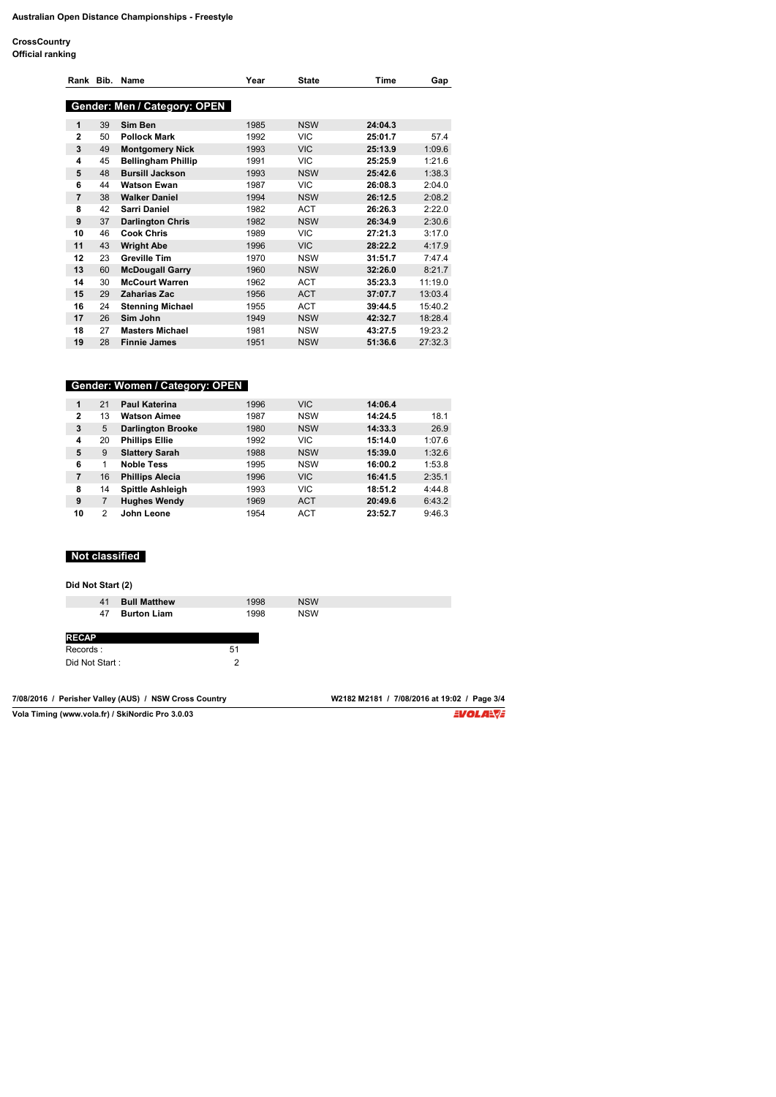**CrossCountry**

|  | Official ranking |  |
|--|------------------|--|

|              |    | Rank Bib. Name               | Year | <b>State</b> | Time    | Gap     |
|--------------|----|------------------------------|------|--------------|---------|---------|
|              |    | Gender: Men / Category: OPEN |      |              |         |         |
| 1            | 39 | Sim Ben                      | 1985 | <b>NSW</b>   | 24:04.3 |         |
| $\mathbf{2}$ | 50 | <b>Pollock Mark</b>          | 1992 | VIC.         | 25:01.7 | 57.4    |
| 3            | 49 | <b>Montgomery Nick</b>       | 1993 | <b>VIC</b>   | 25:13.9 | 1:09.6  |
| 4            | 45 | <b>Bellingham Phillip</b>    | 1991 | VIC.         | 25:25.9 | 1:21.6  |
| 5            | 48 | <b>Bursill Jackson</b>       | 1993 | <b>NSW</b>   | 25:42.6 | 1:38.3  |
| 6            | 44 | <b>Watson Ewan</b>           | 1987 | VIC.         | 26:08.3 | 2:04.0  |
| 7            | 38 | <b>Walker Daniel</b>         | 1994 | <b>NSW</b>   | 26:12.5 | 2:08.2  |
| 8            | 42 | <b>Sarri Daniel</b>          | 1982 | <b>ACT</b>   | 26:26.3 | 2:22.0  |
| 9            | 37 | <b>Darlington Chris</b>      | 1982 | <b>NSW</b>   | 26:34.9 | 2:30.6  |
| 10           | 46 | <b>Cook Chris</b>            | 1989 | VIC.         | 27:21.3 | 3:17.0  |
| 11           | 43 | <b>Wright Abe</b>            | 1996 | <b>VIC</b>   | 28:22.2 | 4:17.9  |
| 12           | 23 | <b>Greville Tim</b>          | 1970 | <b>NSW</b>   | 31:51.7 | 7:47.4  |
| 13           | 60 | <b>McDougall Garry</b>       | 1960 | <b>NSW</b>   | 32:26.0 | 8:21.7  |
| 14           | 30 | <b>McCourt Warren</b>        | 1962 | <b>ACT</b>   | 35:23.3 | 11:19.0 |
| 15           | 29 | <b>Zaharias Zac</b>          | 1956 | <b>ACT</b>   | 37:07.7 | 13:03.4 |
| 16           | 24 | <b>Stenning Michael</b>      | 1955 | <b>ACT</b>   | 39:44.5 | 15:40.2 |
| 17           | 26 | Sim John                     | 1949 | <b>NSW</b>   | 42:32.7 | 18:28.4 |
| 18           | 27 | <b>Masters Michael</b>       | 1981 | <b>NSW</b>   | 43:27.5 | 19:23.2 |
| 19           | 28 | <b>Finnie James</b>          | 1951 | <b>NSW</b>   | 51:36.6 | 27:32.3 |

|              |    | Gender: Women / Category: OPEN |      |            |         |        |
|--------------|----|--------------------------------|------|------------|---------|--------|
| 1            | 21 | <b>Paul Katerina</b>           | 1996 | <b>VIC</b> | 14:06.4 |        |
| $\mathbf{2}$ | 13 | <b>Watson Aimee</b>            | 1987 | <b>NSW</b> | 14:24.5 | 18.1   |
| 3            | 5  | <b>Darlington Brooke</b>       | 1980 | <b>NSW</b> | 14:33.3 | 26.9   |
| 4            | 20 | <b>Phillips Ellie</b>          | 1992 | <b>VIC</b> | 15:14.0 | 1:07.6 |
| 5            | 9  | <b>Slattery Sarah</b>          | 1988 | <b>NSW</b> | 15:39.0 | 1:32.6 |
| 6            |    | <b>Noble Tess</b>              | 1995 | <b>NSW</b> | 16:00.2 | 1:53.8 |
| 7            | 16 | <b>Phillips Alecia</b>         | 1996 | <b>VIC</b> | 16:41.5 | 2:35.1 |
| 8            | 14 | <b>Spittle Ashleigh</b>        | 1993 | <b>VIC</b> | 18:51.2 | 4:44.8 |
| 9            |    | <b>Hughes Wendy</b>            | 1969 | <b>ACT</b> | 20:49.6 | 6:43.2 |
| 10           | 2  | John Leone                     | 1954 | <b>ACT</b> | 23:52.7 | 9:46.3 |

# **Not classified**

**Did Not Start (2)**

|                | 41 | <b>Bull Matthew</b> | 1998 |  |
|----------------|----|---------------------|------|--|
|                | 47 | <b>Burton Liam</b>  | 1998 |  |
|                |    |                     |      |  |
| <b>RECAP</b>   |    |                     |      |  |
| Records:       |    |                     | 51   |  |
| Did Not Start: |    |                     | 2    |  |

| 7/08/2016 / Perisher Valley (AUS) / NSW Cross Country | W2182 M2181 / 7/08/2016 at 19:02 / Page 3/4 |
|-------------------------------------------------------|---------------------------------------------|
| Vola Timing (www.vola.fr) / SkiNordic Pro 3.0.03      | EVOLA <del>N</del> JE                       |